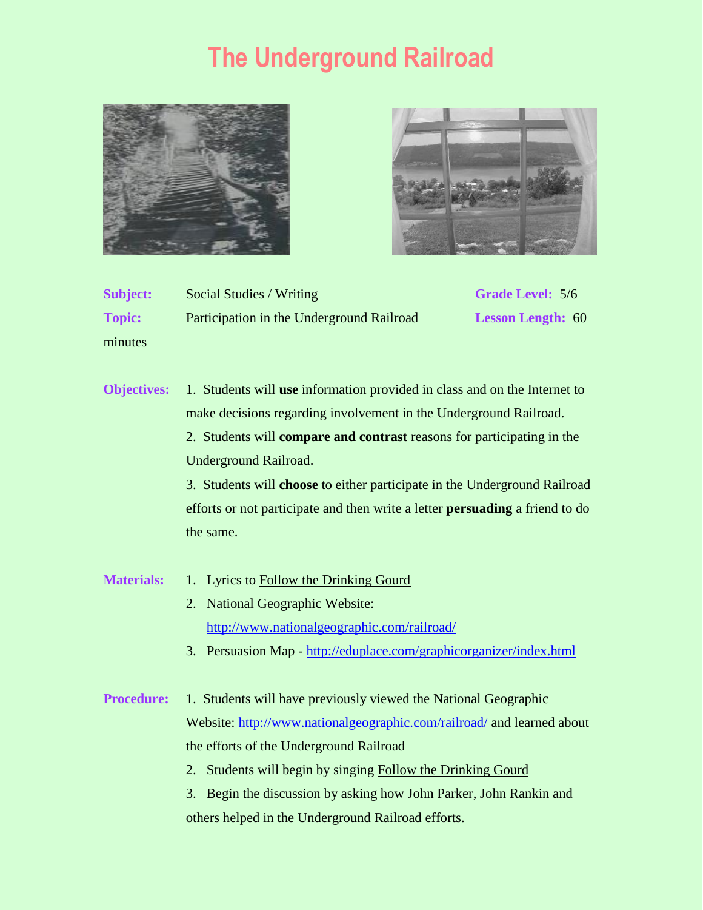## **The Underground Railroad**





| <b>Subject:</b> | Social Studies / Writing                  | <b>Grade Level: 5/6</b>  |
|-----------------|-------------------------------------------|--------------------------|
| <b>Topic:</b>   | Participation in the Underground Railroad | <b>Lesson Length: 60</b> |
| minutes         |                                           |                          |

**Objectives:** 1. Students will **use** information provided in class and on the Internet to make decisions regarding involvement in the Underground Railroad. 2. Students will **compare and contrast** reasons for participating in the Underground Railroad.

3. Students will **choose** to either participate in the Underground Railroad efforts or not participate and then write a letter **persuading** a friend to do the same.

- Materials: 1. Lyrics to Follow the Drinking Gourd 2. National Geographic Website:
	- <http://www.nationalgeographic.com/railroad/>
	- 3. Persuasion Map <http://eduplace.com/graphicorganizer/index.html>
- **Procedure:** 1. Students will have previously viewed the National Geographic Website:<http://www.nationalgeographic.com/railroad/> and learned about the efforts of the Underground Railroad
	- 2. Students will begin by singing Follow the Drinking Gourd
	- 3. Begin the discussion by asking how John Parker, John Rankin and others helped in the Underground Railroad efforts.